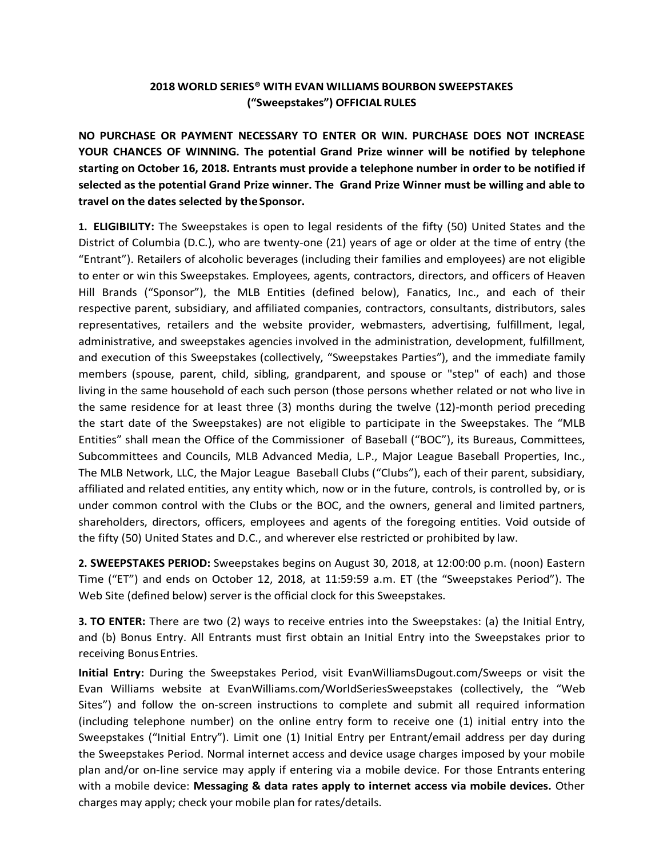## **2018 WORLD SERIES® WITH EVAN WILLIAMS BOURBON SWEEPSTAKES ("Sweepstakes") OFFICIAL RULES**

**NO PURCHASE OR PAYMENT NECESSARY TO ENTER OR WIN. PURCHASE DOES NOT INCREASE YOUR CHANCES OF WINNING. The potential Grand Prize winner will be notified by telephone starting on October 16, 2018. Entrants must provide a telephone number in order to be notified if selected as the potential Grand Prize winner. The Grand Prize Winner must be willing and able to travel on the dates selected by theSponsor.**

**1. ELIGIBILITY:** The Sweepstakes is open to legal residents of the fifty (50) United States and the District of Columbia (D.C.), who are twenty-one (21) years of age or older at the time of entry (the "Entrant"). Retailers of alcoholic beverages (including their families and employees) are not eligible to enter or win this Sweepstakes. Employees, agents, contractors, directors, and officers of Heaven Hill Brands ("Sponsor"), the MLB Entities (defined below), Fanatics, Inc., and each of their respective parent, subsidiary, and affiliated companies, contractors, consultants, distributors, sales representatives, retailers and the website provider, webmasters, advertising, fulfillment, legal, administrative, and sweepstakes agencies involved in the administration, development, fulfillment, and execution of this Sweepstakes (collectively, "Sweepstakes Parties"), and the immediate family members (spouse, parent, child, sibling, grandparent, and spouse or "step" of each) and those living in the same household of each such person (those persons whether related or not who live in the same residence for at least three (3) months during the twelve (12)-month period preceding the start date of the Sweepstakes) are not eligible to participate in the Sweepstakes. The "MLB Entities" shall mean the Office of the Commissioner of Baseball ("BOC"), its Bureaus, Committees, Subcommittees and Councils, MLB Advanced Media, L.P., Major League Baseball Properties, Inc., The MLB Network, LLC, the Major League Baseball Clubs ("Clubs"), each of their parent, subsidiary, affiliated and related entities, any entity which, now or in the future, controls, is controlled by, or is under common control with the Clubs or the BOC, and the owners, general and limited partners, shareholders, directors, officers, employees and agents of the foregoing entities. Void outside of the fifty (50) United States and D.C., and wherever else restricted or prohibited by law.

**2. SWEEPSTAKES PERIOD:** Sweepstakes begins on August 30, 2018, at 12:00:00 p.m. (noon) Eastern Time ("ET") and ends on October 12, 2018, at 11:59:59 a.m. ET (the "Sweepstakes Period"). The Web Site (defined below) server is the official clock for this Sweepstakes.

**3. TO ENTER:** There are two (2) ways to receive entries into the Sweepstakes: (a) the Initial Entry, and (b) Bonus Entry. All Entrants must first obtain an Initial Entry into the Sweepstakes prior to receiving BonusEntries.

**Initial Entry:** During the Sweepstakes Period, visit EvanWilliamsDugout.com/Sweeps or visit the Evan Williams website at EvanWilliams.com/WorldSeriesSweepstakes (collectively, the "Web Sites") and follow the on-screen instructions to complete and submit all required information (including telephone number) on the online entry form to receive one (1) initial entry into the Sweepstakes ("Initial Entry"). Limit one (1) Initial Entry per Entrant/email address per day during the Sweepstakes Period. Normal internet access and device usage charges imposed by your mobile plan and/or on-line service may apply if entering via a mobile device. For those Entrants entering with a mobile device: **Messaging & data rates apply to internet access via mobile devices.** Other charges may apply; check your mobile plan for rates/details.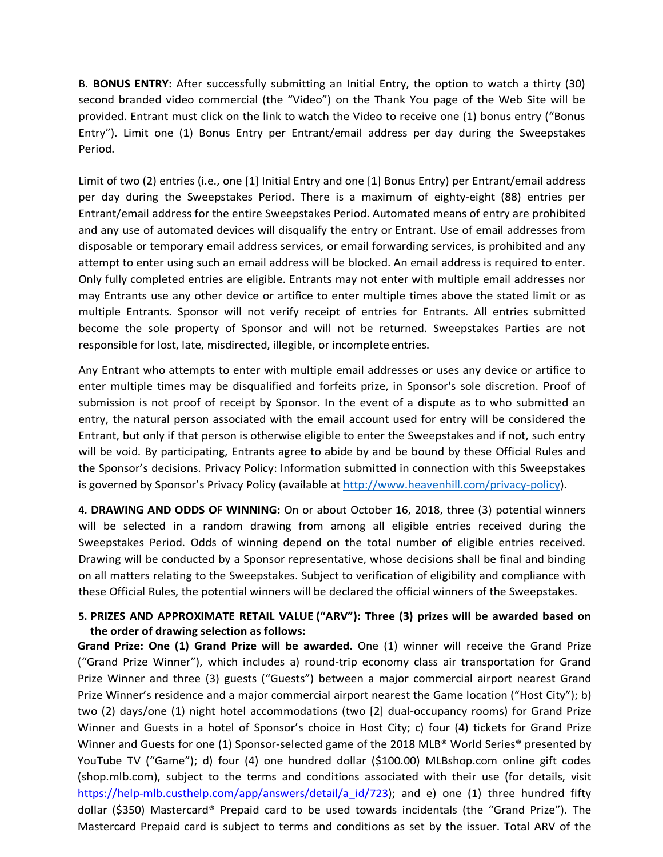B. **BONUS ENTRY:** After successfully submitting an Initial Entry, the option to watch a thirty (30) second branded video commercial (the "Video") on the Thank You page of the Web Site will be provided. Entrant must click on the link to watch the Video to receive one (1) bonus entry ("Bonus Entry"). Limit one (1) Bonus Entry per Entrant/email address per day during the Sweepstakes Period.

Limit of two (2) entries (i.e., one [1] Initial Entry and one [1] Bonus Entry) per Entrant/email address per day during the Sweepstakes Period. There is a maximum of eighty-eight (88) entries per Entrant/email address for the entire Sweepstakes Period. Automated means of entry are prohibited and any use of automated devices will disqualify the entry or Entrant. Use of email addresses from disposable or temporary email address services, or email forwarding services, is prohibited and any attempt to enter using such an email address will be blocked. An email address is required to enter. Only fully completed entries are eligible. Entrants may not enter with multiple email addresses nor may Entrants use any other device or artifice to enter multiple times above the stated limit or as multiple Entrants. Sponsor will not verify receipt of entries for Entrants. All entries submitted become the sole property of Sponsor and will not be returned. Sweepstakes Parties are not responsible for lost, late, misdirected, illegible, or incomplete entries.

Any Entrant who attempts to enter with multiple email addresses or uses any device or artifice to enter multiple times may be disqualified and forfeits prize, in Sponsor's sole discretion. Proof of submission is not proof of receipt by Sponsor. In the event of a dispute as to who submitted an entry, the natural person associated with the email account used for entry will be considered the Entrant, but only if that person is otherwise eligible to enter the Sweepstakes and if not, such entry will be void. By participating, Entrants agree to abide by and be bound by these Official Rules and the Sponsor's decisions. Privacy Policy: Information submitted in connection with this Sweepstakes is governed by Sponsor's Privacy Policy (available at http://www.heavenhill.com/privacy-policy).

**4. DRAWING AND ODDS OF WINNING:** On or about October 16, 2018, three (3) potential winners will be selected in a random drawing from among all eligible entries received during the Sweepstakes Period. Odds of winning depend on the total number of eligible entries received. Drawing will be conducted by a Sponsor representative, whose decisions shall be final and binding on all matters relating to the Sweepstakes. Subject to verification of eligibility and compliance with these Official Rules, the potential winners will be declared the official winners of the Sweepstakes.

## **5. PRIZES AND APPROXIMATE RETAIL VALUE ("ARV"): Three (3) prizes will be awarded based on the order of drawing selection as follows:**

**Grand Prize: One (1) Grand Prize will be awarded.** One (1) winner will receive the Grand Prize ("Grand Prize Winner"), which includes a) round-trip economy class air transportation for Grand Prize Winner and three (3) guests ("Guests") between a major commercial airport nearest Grand Prize Winner's residence and a major commercial airport nearest the Game location ("Host City"); b) two (2) days/one (1) night hotel accommodations (two [2] dual-occupancy rooms) for Grand Prize Winner and Guests in a hotel of Sponsor's choice in Host City; c) four (4) tickets for Grand Prize Winner and Guests for one (1) Sponsor-selected game of the 2018 MLB® World Series® presented by YouTube TV ("Game"); d) four (4) one hundred dollar (\$100.00) MLBshop.com online gift codes (shop.mlb.com), subject to the terms and conditions associated with their use (for details, visit https://help-mlb.custhelp.com/app/answers/detail/a id/723); and e) one (1) three hundred fifty dollar (\$350) Mastercard® Prepaid card to be used towards incidentals (the "Grand Prize"). The Mastercard Prepaid card is subject to terms and conditions as set by the issuer. Total ARV of the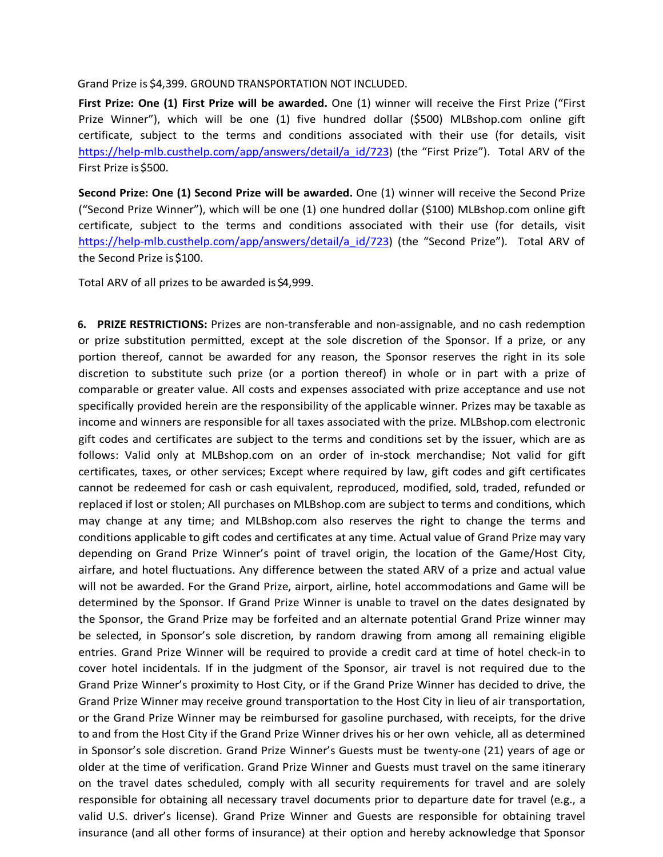## Grand Prize is \$4,399. GROUND TRANSPORTATION NOT INCLUDED.

**First Prize: One (1) First Prize will be awarded.** One (1) winner will receive the First Prize ("First Prize Winner"), which will be one (1) five hundred dollar (\$500) MLBshop.com online gift certificate, subject to the terms and conditions associated with their use (for details, visit https://help-mlb.custhelp.com/app/answers/detail/a\_id/723) (the "First Prize"). Total ARV of the First Prize is \$500.

**Second Prize: One (1) Second Prize will be awarded.** One (1) winner will receive the Second Prize ("Second Prize Winner"), which will be one (1) one hundred dollar (\$100) MLBshop.com online gift certificate, subject to the terms and conditions associated with their use (for details, visit https://help-mlb.custhelp.com/app/answers/detail/a\_id/723) (the "Second Prize"). Total ARV of the Second Prize is \$100.

Total ARV of all prizes to be awarded is \$4,999.

**6. PRIZE RESTRICTIONS:** Prizes are non-transferable and non-assignable, and no cash redemption or prize substitution permitted, except at the sole discretion of the Sponsor. If a prize, or any portion thereof, cannot be awarded for any reason, the Sponsor reserves the right in its sole discretion to substitute such prize (or a portion thereof) in whole or in part with a prize of comparable or greater value. All costs and expenses associated with prize acceptance and use not specifically provided herein are the responsibility of the applicable winner. Prizes may be taxable as income and winners are responsible for all taxes associated with the prize. MLBshop.com electronic gift codes and certificates are subject to the terms and conditions set by the issuer, which are as follows: Valid only at MLBshop.com on an order of in-stock merchandise; Not valid for gift certificates, taxes, or other services; Except where required by law, gift codes and gift certificates cannot be redeemed for cash or cash equivalent, reproduced, modified, sold, traded, refunded or replaced if lost or stolen; All purchases on MLBshop.com are subject to terms and conditions, which may change at any time; and MLBshop.com also reserves the right to change the terms and conditions applicable to gift codes and certificates at any time. Actual value of Grand Prize may vary depending on Grand Prize Winner's point of travel origin, the location of the Game/Host City, airfare, and hotel fluctuations. Any difference between the stated ARV of a prize and actual value will not be awarded. For the Grand Prize, airport, airline, hotel accommodations and Game will be determined by the Sponsor. If Grand Prize Winner is unable to travel on the dates designated by the Sponsor, the Grand Prize may be forfeited and an alternate potential Grand Prize winner may be selected, in Sponsor's sole discretion, by random drawing from among all remaining eligible entries. Grand Prize Winner will be required to provide a credit card at time of hotel check-in to cover hotel incidentals. If in the judgment of the Sponsor, air travel is not required due to the Grand Prize Winner's proximity to Host City, or if the Grand Prize Winner has decided to drive, the Grand Prize Winner may receive ground transportation to the Host City in lieu of air transportation, or the Grand Prize Winner may be reimbursed for gasoline purchased, with receipts, for the drive to and from the Host City if the Grand Prize Winner drives his or her own vehicle, all as determined in Sponsor's sole discretion. Grand Prize Winner's Guests must be twenty-one (21) years of age or older at the time of verification. Grand Prize Winner and Guests must travel on the same itinerary on the travel dates scheduled, comply with all security requirements for travel and are solely responsible for obtaining all necessary travel documents prior to departure date for travel (e.g., a valid U.S. driver's license). Grand Prize Winner and Guests are responsible for obtaining travel insurance (and all other forms of insurance) at their option and hereby acknowledge that Sponsor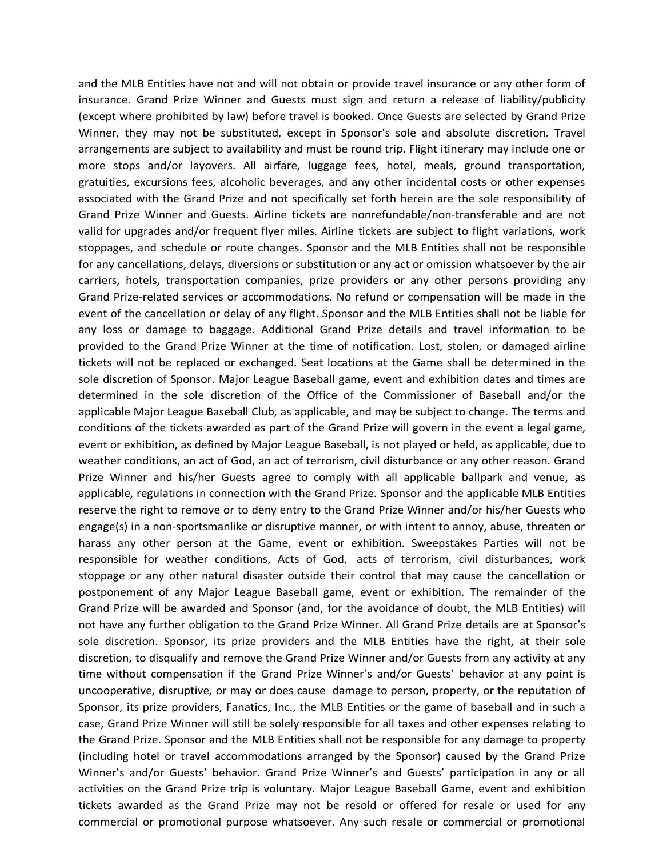and the MLB Entities have not and will not obtain or provide travel insurance or any other form of insurance. Grand Prize Winner and Guests must sign and return a release of liability/publicity (except where prohibited by law) before travel is booked. Once Guests are selected by Grand Prize Winner, they may not be substituted, except in Sponsor's sole and absolute discretion. Travel arrangements are subject to availability and must be round trip. Flight itinerary may include one or more stops and/or layovers. All airfare, luggage fees, hotel, meals, ground transportation, gratuities, excursions fees, alcoholic beverages, and any other incidental costs or other expenses associated with the Grand Prize and not specifically set forth herein are the sole responsibility of Grand Prize Winner and Guests. Airline tickets are nonrefundable/non-transferable and are not valid for upgrades and/or frequent flyer miles. Airline tickets are subject to flight variations, work stoppages, and schedule or route changes. Sponsor and the MLB Entities shall not be responsible for any cancellations, delays, diversions or substitution or any act or omission whatsoever by the air carriers, hotels, transportation companies, prize providers or any other persons providing any Grand Prize-related services or accommodations. No refund or compensation will be made in the event of the cancellation or delay of any flight. Sponsor and the MLB Entities shall not be liable for any loss or damage to baggage. Additional Grand Prize details and travel information to be provided to the Grand Prize Winner at the time of notification. Lost, stolen, or damaged airline tickets will not be replaced or exchanged. Seat locations at the Game shall be determined in the sole discretion of Sponsor. Major League Baseball game, event and exhibition dates and times are determined in the sole discretion of the Office of the Commissioner of Baseball and/or the applicable Major League Baseball Club, as applicable, and may be subject to change. The terms and conditions of the tickets awarded as part of the Grand Prize will govern in the event a legal game, event or exhibition, as defined by Major League Baseball, is not played or held, as applicable, due to weather conditions, an act of God, an act of terrorism, civil disturbance or any other reason. Grand Prize Winner and his/her Guests agree to comply with all applicable ballpark and venue, as applicable, regulations in connection with the Grand Prize. Sponsor and the applicable MLB Entities reserve the right to remove or to deny entry to the Grand Prize Winner and/or his/her Guests who engage(s) in a non-sportsmanlike or disruptive manner, or with intent to annoy, abuse, threaten or harass any other person at the Game, event or exhibition. Sweepstakes Parties will not be responsible for weather conditions, Acts of God, acts of terrorism, civil disturbances, work stoppage or any other natural disaster outside their control that may cause the cancellation or postponement of any Major League Baseball game, event or exhibition. The remainder of the Grand Prize will be awarded and Sponsor (and, for the avoidance of doubt, the MLB Entities) will not have any further obligation to the Grand Prize Winner. All Grand Prize details are at Sponsor's sole discretion. Sponsor, its prize providers and the MLB Entities have the right, at their sole discretion, to disqualify and remove the Grand Prize Winner and/or Guests from any activity at any time without compensation if the Grand Prize Winner's and/or Guests' behavior at any point is uncooperative, disruptive, or may or does cause damage to person, property, or the reputation of Sponsor, its prize providers, Fanatics, Inc., the MLB Entities or the game of baseball and in such a case, Grand Prize Winner will still be solely responsible for all taxes and other expenses relating to the Grand Prize. Sponsor and the MLB Entities shall not be responsible for any damage to property (including hotel or travel accommodations arranged by the Sponsor) caused by the Grand Prize Winner's and/or Guests' behavior. Grand Prize Winner's and Guests' participation in any or all activities on the Grand Prize trip is voluntary. Major League Baseball Game, event and exhibition tickets awarded as the Grand Prize may not be resold or offered for resale or used for any commercial or promotional purpose whatsoever. Any such resale or commercial or promotional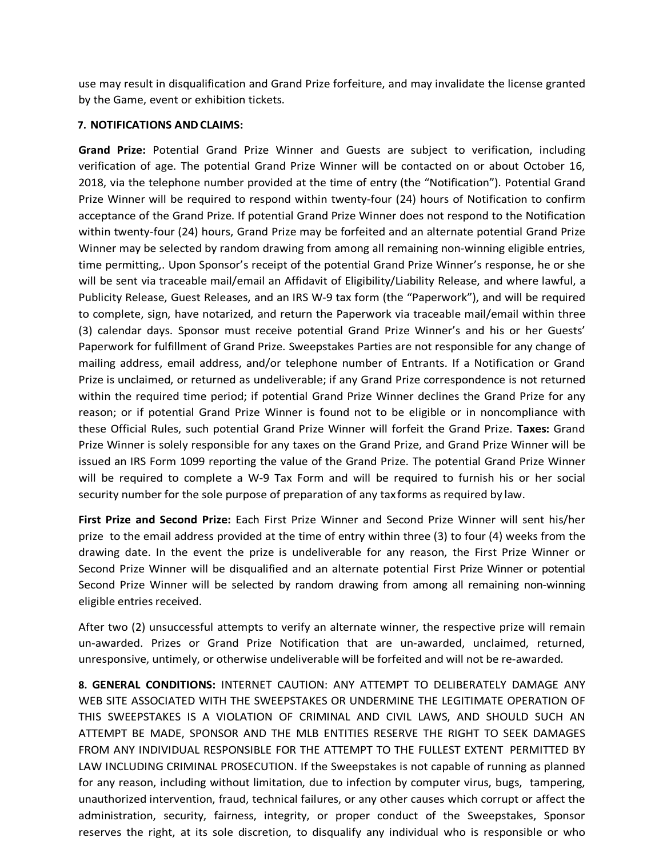use may result in disqualification and Grand Prize forfeiture, and may invalidate the license granted by the Game, event or exhibition tickets.

## **7. NOTIFICATIONS ANDCLAIMS:**

**Grand Prize:** Potential Grand Prize Winner and Guests are subject to verification, including verification of age. The potential Grand Prize Winner will be contacted on or about October 16, 2018, via the telephone number provided at the time of entry (the "Notification"). Potential Grand Prize Winner will be required to respond within twenty-four (24) hours of Notification to confirm acceptance of the Grand Prize. If potential Grand Prize Winner does not respond to the Notification within twenty-four (24) hours, Grand Prize may be forfeited and an alternate potential Grand Prize Winner may be selected by random drawing from among all remaining non-winning eligible entries, time permitting,. Upon Sponsor's receipt of the potential Grand Prize Winner's response, he or she will be sent via traceable mail/email an Affidavit of Eligibility/Liability Release, and where lawful, a Publicity Release, Guest Releases, and an IRS W-9 tax form (the "Paperwork"), and will be required to complete, sign, have notarized, and return the Paperwork via traceable mail/email within three (3) calendar days. Sponsor must receive potential Grand Prize Winner's and his or her Guests' Paperwork for fulfillment of Grand Prize. Sweepstakes Parties are not responsible for any change of mailing address, email address, and/or telephone number of Entrants. If a Notification or Grand Prize is unclaimed, or returned as undeliverable; if any Grand Prize correspondence is not returned within the required time period; if potential Grand Prize Winner declines the Grand Prize for any reason; or if potential Grand Prize Winner is found not to be eligible or in noncompliance with these Official Rules, such potential Grand Prize Winner will forfeit the Grand Prize. **Taxes:** Grand Prize Winner is solely responsible for any taxes on the Grand Prize, and Grand Prize Winner will be issued an IRS Form 1099 reporting the value of the Grand Prize. The potential Grand Prize Winner will be required to complete a W-9 Tax Form and will be required to furnish his or her social security number for the sole purpose of preparation of any tax forms as required by law.

**First Prize and Second Prize:** Each First Prize Winner and Second Prize Winner will sent his/her prize to the email address provided at the time of entry within three (3) to four (4) weeks from the drawing date. In the event the prize is undeliverable for any reason, the First Prize Winner or Second Prize Winner will be disqualified and an alternate potential First Prize Winner or potential Second Prize Winner will be selected by random drawing from among all remaining non-winning eligible entries received.

After two (2) unsuccessful attempts to verify an alternate winner, the respective prize will remain un-awarded. Prizes or Grand Prize Notification that are un-awarded, unclaimed, returned, unresponsive, untimely, or otherwise undeliverable will be forfeited and will not be re-awarded.

**8. GENERAL CONDITIONS:** INTERNET CAUTION: ANY ATTEMPT TO DELIBERATELY DAMAGE ANY WEB SITE ASSOCIATED WITH THE SWEEPSTAKES OR UNDERMINE THE LEGITIMATE OPERATION OF THIS SWEEPSTAKES IS A VIOLATION OF CRIMINAL AND CIVIL LAWS, AND SHOULD SUCH AN ATTEMPT BE MADE, SPONSOR AND THE MLB ENTITIES RESERVE THE RIGHT TO SEEK DAMAGES FROM ANY INDIVIDUAL RESPONSIBLE FOR THE ATTEMPT TO THE FULLEST EXTENT PERMITTED BY LAW INCLUDING CRIMINAL PROSECUTION. If the Sweepstakes is not capable of running as planned for any reason, including without limitation, due to infection by computer virus, bugs, tampering, unauthorized intervention, fraud, technical failures, or any other causes which corrupt or affect the administration, security, fairness, integrity, or proper conduct of the Sweepstakes, Sponsor reserves the right, at its sole discretion, to disqualify any individual who is responsible or who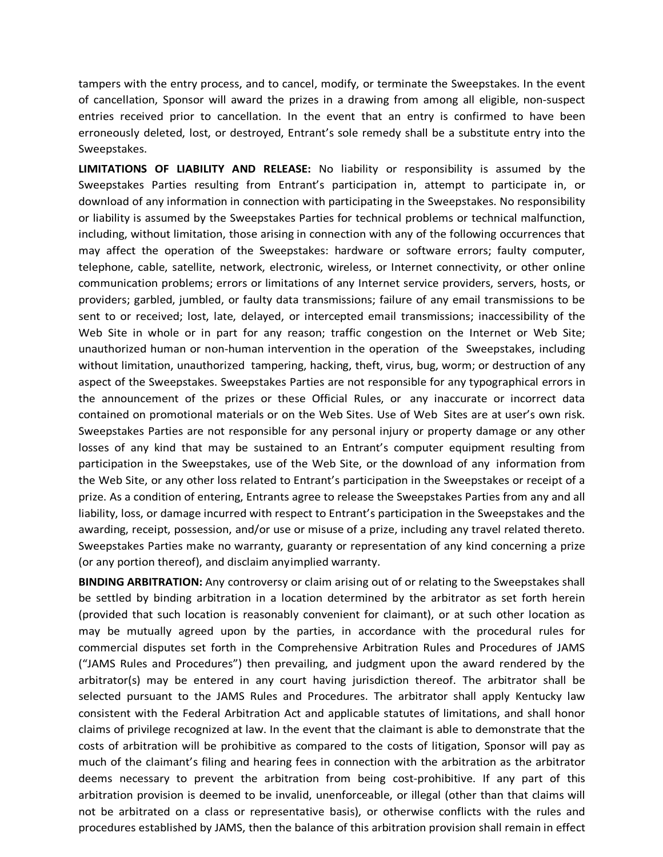tampers with the entry process, and to cancel, modify, or terminate the Sweepstakes. In the event of cancellation, Sponsor will award the prizes in a drawing from among all eligible, non-suspect entries received prior to cancellation. In the event that an entry is confirmed to have been erroneously deleted, lost, or destroyed, Entrant's sole remedy shall be a substitute entry into the Sweepstakes.

**LIMITATIONS OF LIABILITY AND RELEASE:** No liability or responsibility is assumed by the Sweepstakes Parties resulting from Entrant's participation in, attempt to participate in, or download of any information in connection with participating in the Sweepstakes. No responsibility or liability is assumed by the Sweepstakes Parties for technical problems or technical malfunction, including, without limitation, those arising in connection with any of the following occurrences that may affect the operation of the Sweepstakes: hardware or software errors; faulty computer, telephone, cable, satellite, network, electronic, wireless, or Internet connectivity, or other online communication problems; errors or limitations of any Internet service providers, servers, hosts, or providers; garbled, jumbled, or faulty data transmissions; failure of any email transmissions to be sent to or received; lost, late, delayed, or intercepted email transmissions; inaccessibility of the Web Site in whole or in part for any reason; traffic congestion on the Internet or Web Site; unauthorized human or non-human intervention in the operation of the Sweepstakes, including without limitation, unauthorized tampering, hacking, theft, virus, bug, worm; or destruction of any aspect of the Sweepstakes. Sweepstakes Parties are not responsible for any typographical errors in the announcement of the prizes or these Official Rules, or any inaccurate or incorrect data contained on promotional materials or on the Web Sites. Use of Web Sites are at user's own risk. Sweepstakes Parties are not responsible for any personal injury or property damage or any other losses of any kind that may be sustained to an Entrant's computer equipment resulting from participation in the Sweepstakes, use of the Web Site, or the download of any information from the Web Site, or any other loss related to Entrant's participation in the Sweepstakes or receipt of a prize. As a condition of entering, Entrants agree to release the Sweepstakes Parties from any and all liability, loss, or damage incurred with respect to Entrant's participation in the Sweepstakes and the awarding, receipt, possession, and/or use or misuse of a prize, including any travel related thereto. Sweepstakes Parties make no warranty, guaranty or representation of any kind concerning a prize (or any portion thereof), and disclaim anyimplied warranty.

**BINDING ARBITRATION:** Any controversy or claim arising out of or relating to the Sweepstakes shall be settled by binding arbitration in a location determined by the arbitrator as set forth herein (provided that such location is reasonably convenient for claimant), or at such other location as may be mutually agreed upon by the parties, in accordance with the procedural rules for commercial disputes set forth in the Comprehensive Arbitration Rules and Procedures of JAMS ("JAMS Rules and Procedures") then prevailing, and judgment upon the award rendered by the arbitrator(s) may be entered in any court having jurisdiction thereof. The arbitrator shall be selected pursuant to the JAMS Rules and Procedures. The arbitrator shall apply Kentucky law consistent with the Federal Arbitration Act and applicable statutes of limitations, and shall honor claims of privilege recognized at law. In the event that the claimant is able to demonstrate that the costs of arbitration will be prohibitive as compared to the costs of litigation, Sponsor will pay as much of the claimant's filing and hearing fees in connection with the arbitration as the arbitrator deems necessary to prevent the arbitration from being cost-prohibitive. If any part of this arbitration provision is deemed to be invalid, unenforceable, or illegal (other than that claims will not be arbitrated on a class or representative basis), or otherwise conflicts with the rules and procedures established by JAMS, then the balance of this arbitration provision shall remain in effect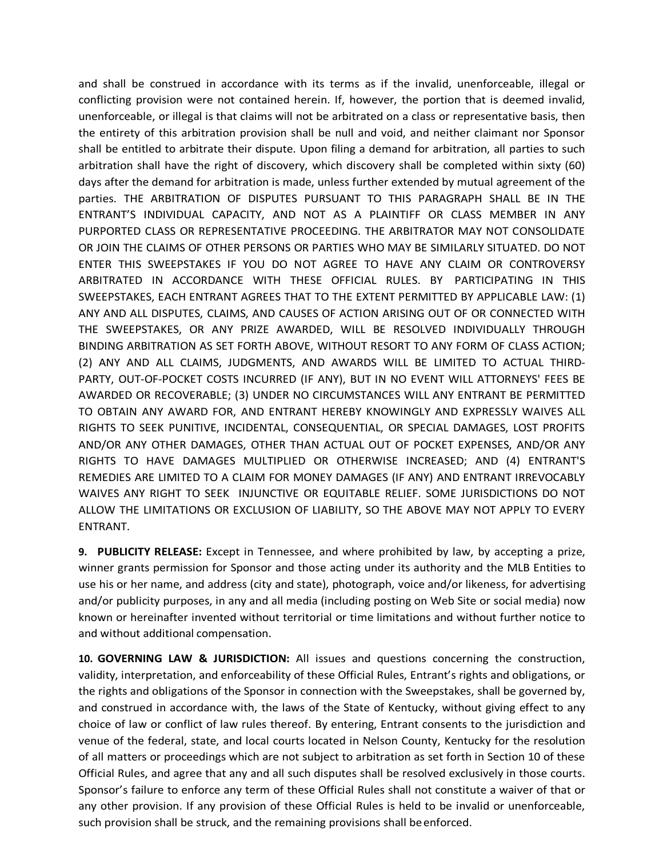and shall be construed in accordance with its terms as if the invalid, unenforceable, illegal or conflicting provision were not contained herein. If, however, the portion that is deemed invalid, unenforceable, or illegal is that claims will not be arbitrated on a class or representative basis, then the entirety of this arbitration provision shall be null and void, and neither claimant nor Sponsor shall be entitled to arbitrate their dispute. Upon filing a demand for arbitration, all parties to such arbitration shall have the right of discovery, which discovery shall be completed within sixty (60) days after the demand for arbitration is made, unless further extended by mutual agreement of the parties. THE ARBITRATION OF DISPUTES PURSUANT TO THIS PARAGRAPH SHALL BE IN THE ENTRANT'S INDIVIDUAL CAPACITY, AND NOT AS A PLAINTIFF OR CLASS MEMBER IN ANY PURPORTED CLASS OR REPRESENTATIVE PROCEEDING. THE ARBITRATOR MAY NOT CONSOLIDATE OR JOIN THE CLAIMS OF OTHER PERSONS OR PARTIES WHO MAY BE SIMILARLY SITUATED. DO NOT ENTER THIS SWEEPSTAKES IF YOU DO NOT AGREE TO HAVE ANY CLAIM OR CONTROVERSY ARBITRATED IN ACCORDANCE WITH THESE OFFICIAL RULES. BY PARTICIPATING IN THIS SWEEPSTAKES, EACH ENTRANT AGREES THAT TO THE EXTENT PERMITTED BY APPLICABLE LAW: (1) ANY AND ALL DISPUTES, CLAIMS, AND CAUSES OF ACTION ARISING OUT OF OR CONNECTED WITH THE SWEEPSTAKES, OR ANY PRIZE AWARDED, WILL BE RESOLVED INDIVIDUALLY THROUGH BINDING ARBITRATION AS SET FORTH ABOVE, WITHOUT RESORT TO ANY FORM OF CLASS ACTION; (2) ANY AND ALL CLAIMS, JUDGMENTS, AND AWARDS WILL BE LIMITED TO ACTUAL THIRD-PARTY, OUT-OF-POCKET COSTS INCURRED (IF ANY), BUT IN NO EVENT WILL ATTORNEYS' FEES BE AWARDED OR RECOVERABLE; (3) UNDER NO CIRCUMSTANCES WILL ANY ENTRANT BE PERMITTED TO OBTAIN ANY AWARD FOR, AND ENTRANT HEREBY KNOWINGLY AND EXPRESSLY WAIVES ALL RIGHTS TO SEEK PUNITIVE, INCIDENTAL, CONSEQUENTIAL, OR SPECIAL DAMAGES, LOST PROFITS AND/OR ANY OTHER DAMAGES, OTHER THAN ACTUAL OUT OF POCKET EXPENSES, AND/OR ANY RIGHTS TO HAVE DAMAGES MULTIPLIED OR OTHERWISE INCREASED; AND (4) ENTRANT'S REMEDIES ARE LIMITED TO A CLAIM FOR MONEY DAMAGES (IF ANY) AND ENTRANT IRREVOCABLY WAIVES ANY RIGHT TO SEEK INJUNCTIVE OR EQUITABLE RELIEF. SOME JURISDICTIONS DO NOT ALLOW THE LIMITATIONS OR EXCLUSION OF LIABILITY, SO THE ABOVE MAY NOT APPLY TO EVERY ENTRANT.

**9. PUBLICITY RELEASE:** Except in Tennessee, and where prohibited by law, by accepting a prize, winner grants permission for Sponsor and those acting under its authority and the MLB Entities to use his or her name, and address (city and state), photograph, voice and/or likeness, for advertising and/or publicity purposes, in any and all media (including posting on Web Site or social media) now known or hereinafter invented without territorial or time limitations and without further notice to and without additional compensation.

**10. GOVERNING LAW & JURISDICTION:** All issues and questions concerning the construction, validity, interpretation, and enforceability of these Official Rules, Entrant's rights and obligations, or the rights and obligations of the Sponsor in connection with the Sweepstakes, shall be governed by, and construed in accordance with, the laws of the State of Kentucky, without giving effect to any choice of law or conflict of law rules thereof. By entering, Entrant consents to the jurisdiction and venue of the federal, state, and local courts located in Nelson County, Kentucky for the resolution of all matters or proceedings which are not subject to arbitration as set forth in Section 10 of these Official Rules, and agree that any and all such disputes shall be resolved exclusively in those courts. Sponsor's failure to enforce any term of these Official Rules shall not constitute a waiver of that or any other provision. If any provision of these Official Rules is held to be invalid or unenforceable, such provision shall be struck, and the remaining provisions shall beenforced.